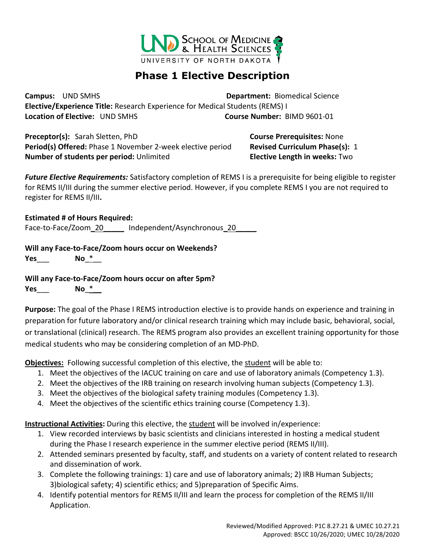

## **Phase 1 Elective Description**

**Campus:** UND SMHS **Department:** Biomedical Science **Elective/Experience Title:** Research Experience for Medical Students (REMS) I **Location of Elective:** UND SMHS **Course Number:** BIMD 9601-01

**Preceptor(s):** Sarah Sletten, PhD **Course Prerequisites:** None **Period(s) Offered:** Phase 1 November 2-week elective period **Revised Curriculum Phase(s):** 1 **Number of students per period:** Unlimited **Elective Length in weeks:** Two

*Future Elective Requirements:* Satisfactory completion of REMS I is a prerequisite for being eligible to register for REMS II/III during the summer elective period. However, if you complete REMS I you are not required to register for REMS II/III**.** 

**Estimated # of Hours Required:**

Face-to-Face/Zoom\_20\_\_\_\_\_ Independent/Asynchronous\_20\_\_\_\_

**Will any Face-to-Face/Zoom hours occur on Weekends?**

**Yes**\_\_\_ **No**\_\*\_\_

**Will any Face-to-Face/Zoom hours occur on after 5pm? Yes**\_\_\_ **No**\_\*\_\_

**Purpose:** The goal of the Phase I REMS introduction elective is to provide hands on experience and training in preparation for future laboratory and/or clinical research training which may include basic, behavioral, social, or translational (clinical) research. The REMS program also provides an excellent training opportunity for those medical students who may be considering completion of an MD-PhD.

**Objectives:** Following successful completion of this elective, the student will be able to:

- 1. Meet the objectives of the IACUC training on care and use of laboratory animals (Competency 1.3).
- 2. Meet the objectives of the IRB training on research involving human subjects (Competency 1.3).
- 3. Meet the objectives of the biological safety training modules (Competency 1.3).
- 4. Meet the objectives of the scientific ethics training course (Competency 1.3).

**Instructional Activities:** During this elective, the student will be involved in/experience:

- 1. View recorded interviews by basic scientists and clinicians interested in hosting a medical student during the Phase I research experience in the summer elective period (REMS II/III).
- 2. Attended seminars presented by faculty, staff, and students on a variety of content related to research and dissemination of work.
- 3. Complete the following trainings: 1) care and use of laboratory animals; 2) IRB Human Subjects; 3)biological safety; 4) scientific ethics; and 5)preparation of Specific Aims.
- 4. Identify potential mentors for REMS II/III and learn the process for completion of the REMS II/III Application.